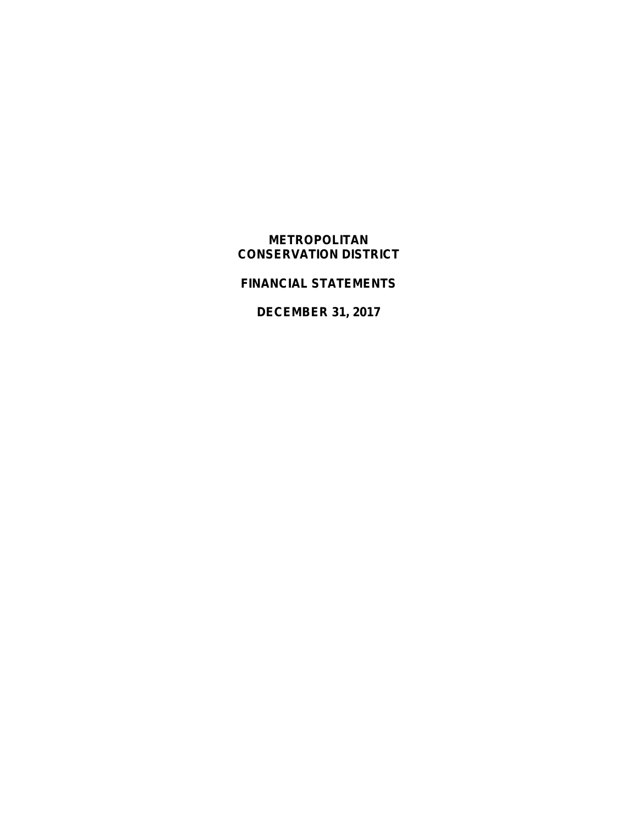# **METROPOLITAN CONSERVATION DISTRICT**

# **FINANCIAL STATEMENTS**

**DECEMBER 31, 2017**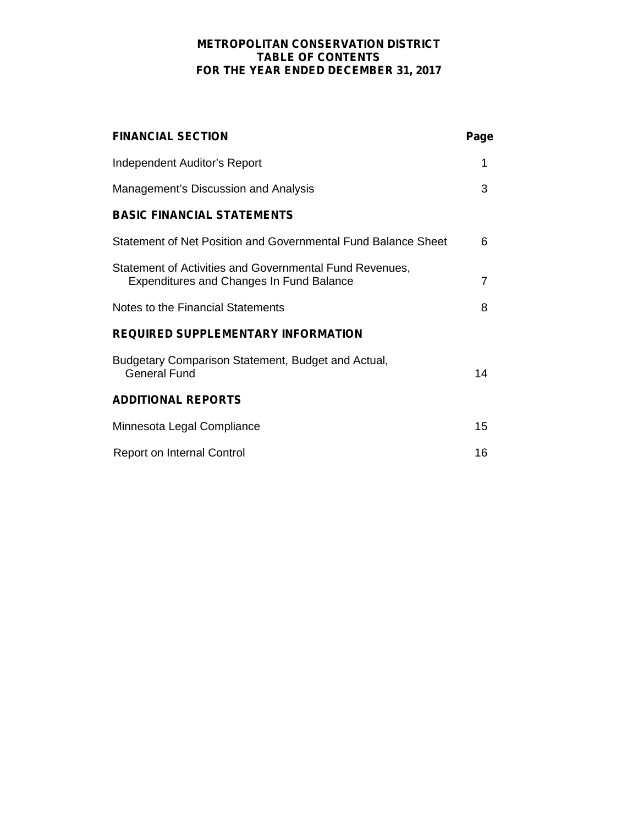# **METROPOLITAN CONSERVATION DISTRICT TABLE OF CONTENTS FOR THE YEAR ENDED DECEMBER 31, 2017**

| <b>FINANCIAL SECTION</b>                                                                                   | Page           |  |
|------------------------------------------------------------------------------------------------------------|----------------|--|
| Independent Auditor's Report                                                                               | 1              |  |
| Management's Discussion and Analysis                                                                       | 3              |  |
| <b>BASIC FINANCIAL STATEMENTS</b>                                                                          |                |  |
| Statement of Net Position and Governmental Fund Balance Sheet                                              | 6              |  |
| Statement of Activities and Governmental Fund Revenues,<br><b>Expenditures and Changes In Fund Balance</b> | $\overline{7}$ |  |
| Notes to the Financial Statements                                                                          | 8              |  |
| <b>REQUIRED SUPPLEMENTARY INFORMATION</b>                                                                  |                |  |
| Budgetary Comparison Statement, Budget and Actual,<br><b>General Fund</b>                                  | 14             |  |
| <b>ADDITIONAL REPORTS</b>                                                                                  |                |  |
| Minnesota Legal Compliance                                                                                 | 15             |  |
| <b>Report on Internal Control</b>                                                                          | 16             |  |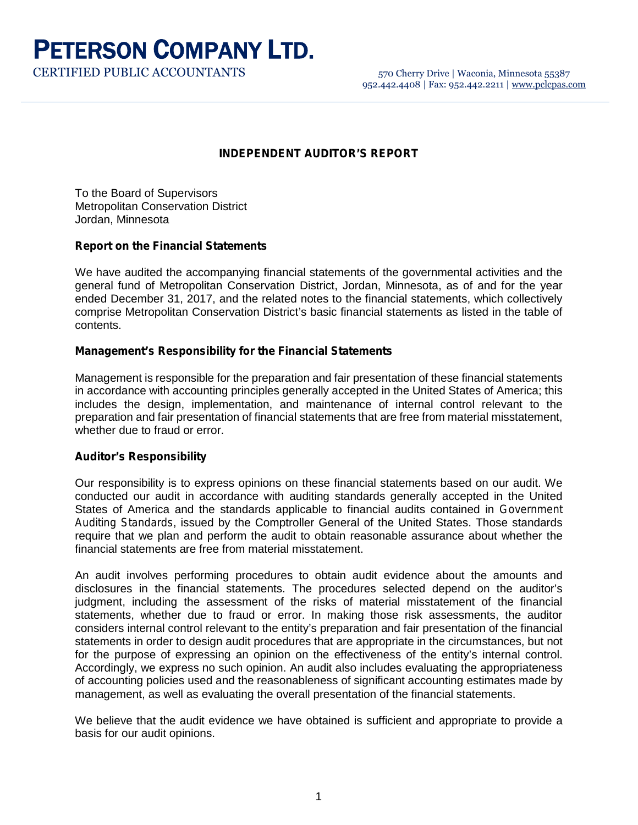# **PETERSON COMPANY LTD.**

# **INDEPENDENT AUDITOR'S REPORT**

To the Board of Supervisors Metropolitan Conservation District Jordan, Minnesota

#### **Report on the Financial Statements**

We have audited the accompanying financial statements of the governmental activities and the general fund of Metropolitan Conservation District, Jordan, Minnesota, as of and for the year ended December 31, 2017, and the related notes to the financial statements, which collectively comprise Metropolitan Conservation District's basic financial statements as listed in the table of contents.

#### **Management's Responsibility for the Financial Statements**

Management is responsible for the preparation and fair presentation of these financial statements in accordance with accounting principles generally accepted in the United States of America; this includes the design, implementation, and maintenance of internal control relevant to the preparation and fair presentation of financial statements that are free from material misstatement, whether due to fraud or error.

#### **Auditor's Responsibility**

Our responsibility is to express opinions on these financial statements based on our audit. We conducted our audit in accordance with auditing standards generally accepted in the United States of America and the standards applicable to financial audits contained in *Government Auditing Standards*, issued by the Comptroller General of the United States. Those standards require that we plan and perform the audit to obtain reasonable assurance about whether the financial statements are free from material misstatement.

An audit involves performing procedures to obtain audit evidence about the amounts and disclosures in the financial statements. The procedures selected depend on the auditor's judgment, including the assessment of the risks of material misstatement of the financial statements, whether due to fraud or error. In making those risk assessments, the auditor considers internal control relevant to the entity's preparation and fair presentation of the financial statements in order to design audit procedures that are appropriate in the circumstances, but not for the purpose of expressing an opinion on the effectiveness of the entity's internal control. Accordingly, we express no such opinion. An audit also includes evaluating the appropriateness of accounting policies used and the reasonableness of significant accounting estimates made by management, as well as evaluating the overall presentation of the financial statements.

We believe that the audit evidence we have obtained is sufficient and appropriate to provide a basis for our audit opinions.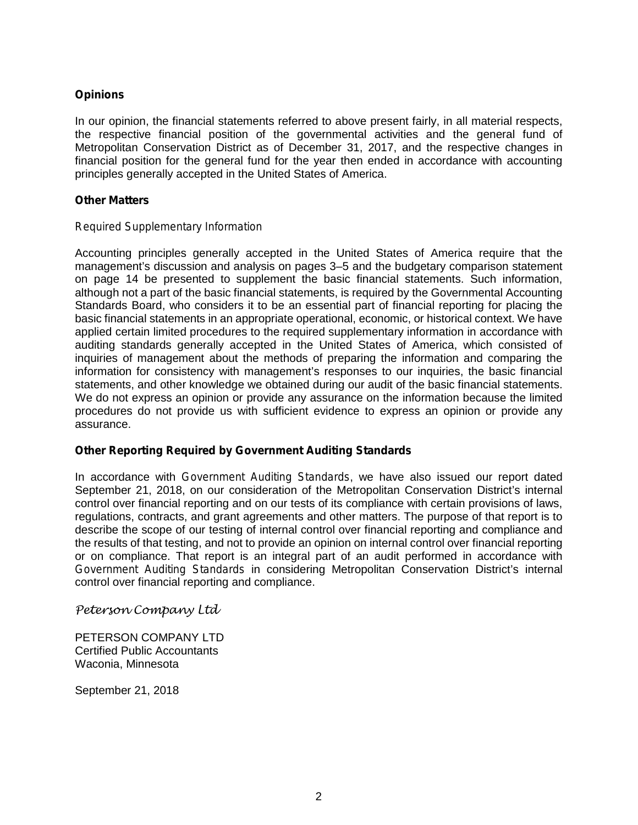# **Opinions**

In our opinion, the financial statements referred to above present fairly, in all material respects, the respective financial position of the governmental activities and the general fund of Metropolitan Conservation District as of December 31, 2017, and the respective changes in financial position for the general fund for the year then ended in accordance with accounting principles generally accepted in the United States of America.

# **Other Matters**

#### *Required Supplementary Information*

Accounting principles generally accepted in the United States of America require that the management's discussion and analysis on pages 3–5 and the budgetary comparison statement on page 14 be presented to supplement the basic financial statements. Such information, although not a part of the basic financial statements, is required by the Governmental Accounting Standards Board, who considers it to be an essential part of financial reporting for placing the basic financial statements in an appropriate operational, economic, or historical context. We have applied certain limited procedures to the required supplementary information in accordance with auditing standards generally accepted in the United States of America, which consisted of inquiries of management about the methods of preparing the information and comparing the information for consistency with management's responses to our inquiries, the basic financial statements, and other knowledge we obtained during our audit of the basic financial statements. We do not express an opinion or provide any assurance on the information because the limited procedures do not provide us with sufficient evidence to express an opinion or provide any assurance.

# **Other Reporting Required by** *Government Auditing Standards*

In accordance with *Government Auditing Standards*, we have also issued our report dated September 21, 2018, on our consideration of the Metropolitan Conservation District's internal control over financial reporting and on our tests of its compliance with certain provisions of laws, regulations, contracts, and grant agreements and other matters. The purpose of that report is to describe the scope of our testing of internal control over financial reporting and compliance and the results of that testing, and not to provide an opinion on internal control over financial reporting or on compliance. That report is an integral part of an audit performed in accordance with *Government Auditing Standards* in considering Metropolitan Conservation District's internal control over financial reporting and compliance.

Peterson Company Ltd

PETERSON COMPANY LTD Certified Public Accountants Waconia, Minnesota

September 21, 2018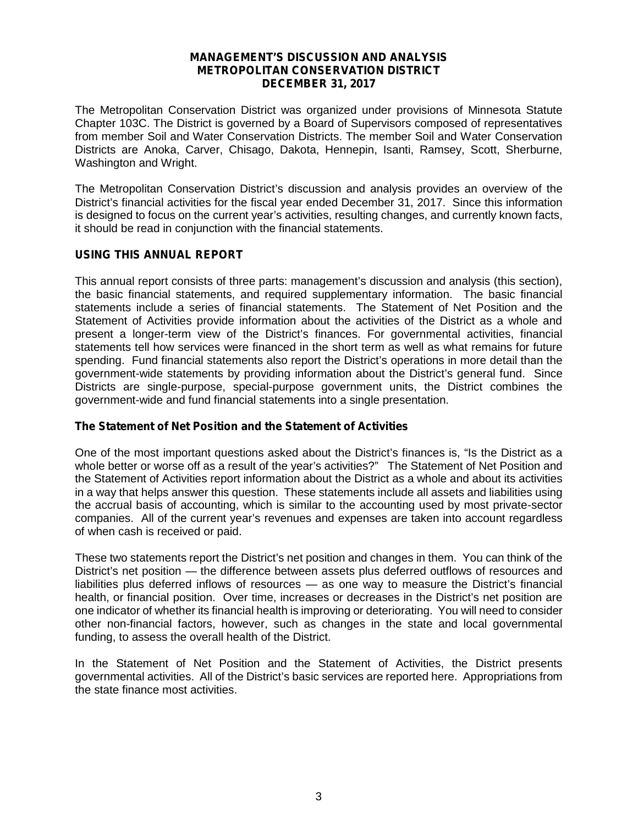#### **MANAGEMENT'S DISCUSSION AND ANALYSIS METROPOLITAN CONSERVATION DISTRICT DECEMBER 31, 2017**

The Metropolitan Conservation District was organized under provisions of Minnesota Statute Chapter 103C. The District is governed by a Board of Supervisors composed of representatives from member Soil and Water Conservation Districts. The member Soil and Water Conservation Districts are Anoka, Carver, Chisago, Dakota, Hennepin, Isanti, Ramsey, Scott, Sherburne, Washington and Wright.

The Metropolitan Conservation District's discussion and analysis provides an overview of the District's financial activities for the fiscal year ended December 31, 2017. Since this information is designed to focus on the current year's activities, resulting changes, and currently known facts, it should be read in conjunction with the financial statements.

# **USING THIS ANNUAL REPORT**

This annual report consists of three parts: management's discussion and analysis (this section), the basic financial statements, and required supplementary information. The basic financial statements include a series of financial statements. The Statement of Net Position and the Statement of Activities provide information about the activities of the District as a whole and present a longer-term view of the District's finances. For governmental activities, financial statements tell how services were financed in the short term as well as what remains for future spending. Fund financial statements also report the District's operations in more detail than the government-wide statements by providing information about the District's general fund. Since Districts are single-purpose, special-purpose government units, the District combines the government-wide and fund financial statements into a single presentation.

# **The Statement of Net Position and the Statement of Activities**

One of the most important questions asked about the District's finances is, "Is the District as a whole better or worse off as a result of the year's activities?" The Statement of Net Position and the Statement of Activities report information about the District as a whole and about its activities in a way that helps answer this question. These statements include all assets and liabilities using the accrual basis of accounting, which is similar to the accounting used by most private-sector companies. All of the current year's revenues and expenses are taken into account regardless of when cash is received or paid.

These two statements report the District's net position and changes in them. You can think of the District's net position — the difference between assets plus deferred outflows of resources and liabilities plus deferred inflows of resources — as one way to measure the District's financial health, or financial position. Over time, increases or decreases in the District's net position are one indicator of whether its financial health is improving or deteriorating. You will need to consider other non-financial factors, however, such as changes in the state and local governmental funding, to assess the overall health of the District.

In the Statement of Net Position and the Statement of Activities, the District presents governmental activities. All of the District's basic services are reported here. Appropriations from the state finance most activities.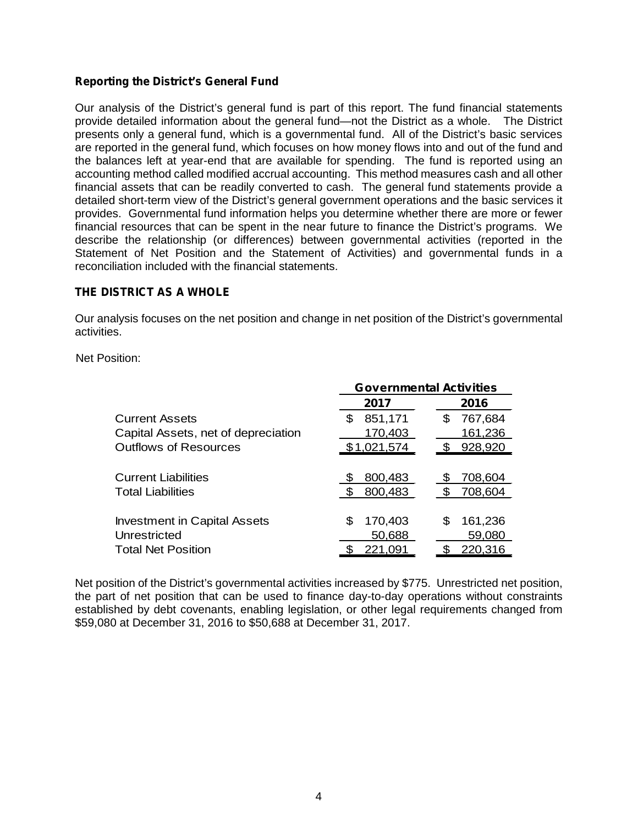# **Reporting the District's General Fund**

Our analysis of the District's general fund is part of this report. The fund financial statements provide detailed information about the general fund—not the District as a whole. The District presents only a general fund, which is a governmental fund. All of the District's basic services are reported in the general fund, which focuses on how money flows into and out of the fund and the balances left at year-end that are available for spending. The fund is reported using an accounting method called modified accrual accounting. This method measures cash and all other financial assets that can be readily converted to cash. The general fund statements provide a detailed short-term view of the District's general government operations and the basic services it provides. Governmental fund information helps you determine whether there are more or fewer financial resources that can be spent in the near future to finance the District's programs. We describe the relationship (or differences) between governmental activities (reported in the Statement of Net Position and the Statement of Activities) and governmental funds in a reconciliation included with the financial statements.

# **THE DISTRICT AS A WHOLE**

Our analysis focuses on the net position and change in net position of the District's governmental activities.

Net Position:

|                                     | <b>Governmental Activities</b> |               |
|-------------------------------------|--------------------------------|---------------|
|                                     | 2017                           | 2016          |
| <b>Current Assets</b>               | 851,171<br>S                   | \$<br>767,684 |
| Capital Assets, net of depreciation | 170,403                        | 161,236       |
| <b>Outflows of Resources</b>        | \$1,021,574                    | 928,920       |
|                                     |                                |               |
| <b>Current Liabilities</b>          | 800,483                        | 708,604       |
| <b>Total Liabilities</b>            | 800,483                        | 708,604       |
|                                     |                                |               |
| <b>Investment in Capital Assets</b> | 170,403<br>S                   | 161,236<br>S  |
| Unrestricted                        | 50,688                         | 59,080        |
| <b>Total Net Position</b>           | 221,091                        | 220,316       |

Net position of the District's governmental activities increased by \$775. Unrestricted net position, the part of net position that can be used to finance day-to-day operations without constraints established by debt covenants, enabling legislation, or other legal requirements changed from \$59,080 at December 31, 2016 to \$50,688 at December 31, 2017.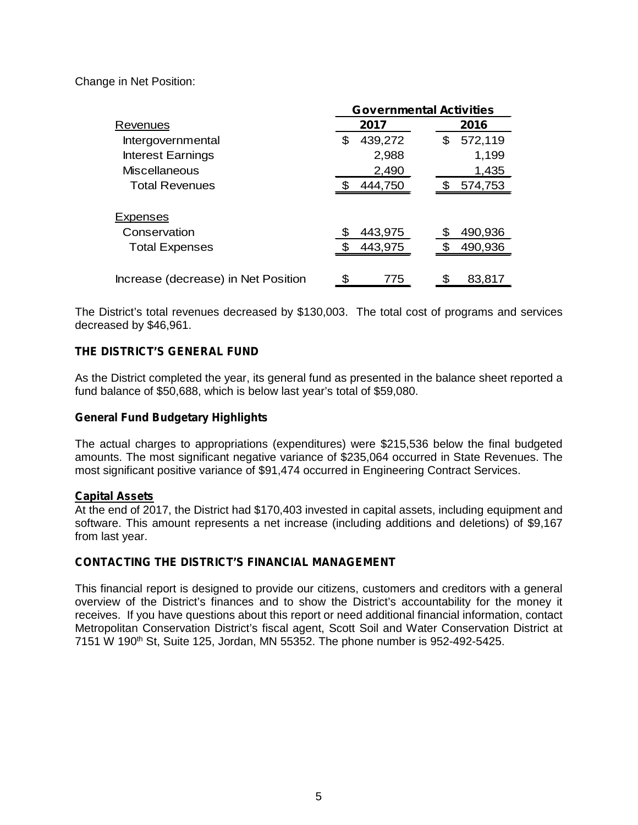Change in Net Position:

|                                     |   | <b>Governmental Activities</b> |    |         |
|-------------------------------------|---|--------------------------------|----|---------|
| Revenues                            |   | 2017                           |    | 2016    |
| Intergovernmental                   | S | 439,272                        | \$ | 572,119 |
| <b>Interest Earnings</b>            |   | 2,988                          |    | 1,199   |
| <b>Miscellaneous</b>                |   | 2,490                          |    | 1,435   |
| <b>Total Revenues</b>               |   | 444,750                        |    | 574,753 |
| <u>Expenses</u>                     |   |                                |    |         |
| Conservation                        |   | 443,975                        |    | 490,936 |
| <b>Total Expenses</b>               |   | 443,975                        |    | 490,936 |
| Increase (decrease) in Net Position |   | 775                            | \$ | 83,817  |

The District's total revenues decreased by \$130,003. The total cost of programs and services decreased by \$46,961.

# **THE DISTRICT'S GENERAL FUND**

As the District completed the year, its general fund as presented in the balance sheet reported a fund balance of \$50,688, which is below last year's total of \$59,080.

#### **General Fund Budgetary Highlights**

The actual charges to appropriations (expenditures) were \$215,536 below the final budgeted amounts. The most significant negative variance of \$235,064 occurred in State Revenues. The most significant positive variance of \$91,474 occurred in Engineering Contract Services.

#### **Capital Assets**

At the end of 2017, the District had \$170,403 invested in capital assets, including equipment and software. This amount represents a net increase (including additions and deletions) of \$9,167 from last year.

#### **CONTACTING THE DISTRICT'S FINANCIAL MANAGEMENT**

This financial report is designed to provide our citizens, customers and creditors with a general overview of the District's finances and to show the District's accountability for the money it receives. If you have questions about this report or need additional financial information, contact Metropolitan Conservation District's fiscal agent, Scott Soil and Water Conservation District at 7151 W 190<sup>th</sup> St, Suite 125, Jordan, MN 55352. The phone number is 952-492-5425.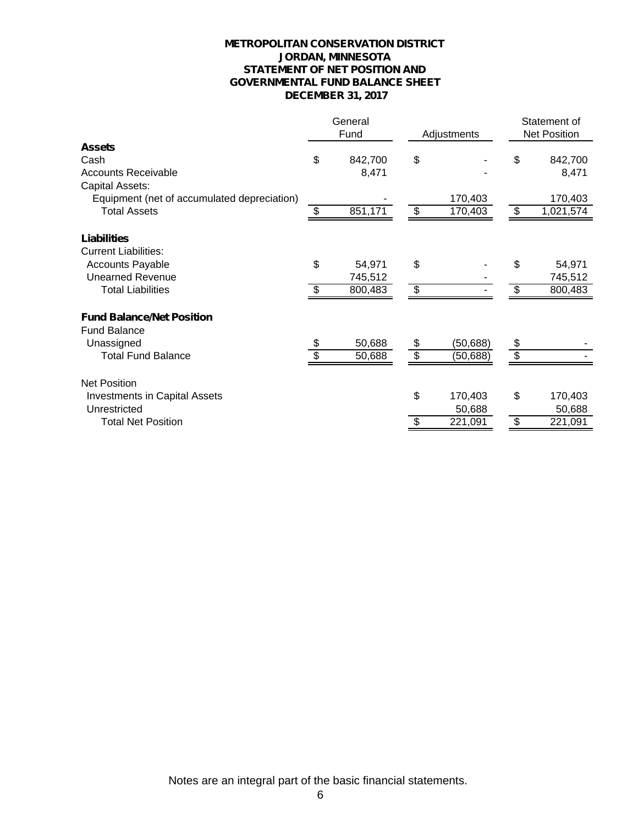#### **METROPOLITAN CONSERVATION DISTRICT JORDAN, MINNESOTA STATEMENT OF NET POSITION AND GOVERNMENTAL FUND BALANCE SHEET DECEMBER 31, 2017**

|                                             |                           | General<br>Fund |                 | Adjustments | Statement of<br><b>Net Position</b> |
|---------------------------------------------|---------------------------|-----------------|-----------------|-------------|-------------------------------------|
| <b>Assets</b>                               |                           |                 |                 |             |                                     |
| Cash                                        | \$                        | 842,700         | \$              |             | \$<br>842,700                       |
| <b>Accounts Receivable</b>                  |                           | 8,471           |                 |             | 8,471                               |
| Capital Assets:                             |                           |                 |                 |             |                                     |
| Equipment (net of accumulated depreciation) |                           |                 |                 | 170,403     | 170,403                             |
| <b>Total Assets</b>                         | \$                        | 851,171         | \$              | 170,403     | \$<br>1,021,574                     |
| <b>Liabilities</b>                          |                           |                 |                 |             |                                     |
| <b>Current Liabilities:</b>                 |                           |                 |                 |             |                                     |
| <b>Accounts Payable</b>                     | \$                        | 54,971          | \$              |             | \$<br>54,971                        |
| <b>Unearned Revenue</b>                     |                           | 745,512         |                 |             | 745,512                             |
| <b>Total Liabilities</b>                    | $\boldsymbol{\mathsf{S}}$ | 800,483         | \$              |             | \$<br>800,483                       |
| <b>Fund Balance/Net Position</b>            |                           |                 |                 |             |                                     |
| <b>Fund Balance</b>                         |                           |                 |                 |             |                                     |
| Unassigned                                  |                           | 50,688          | \$              | (50, 688)   | \$                                  |
| <b>Total Fund Balance</b>                   | $rac{1}{3}$               | 50,688          | $\overline{\$}$ | (50, 688)   | \$                                  |
| <b>Net Position</b>                         |                           |                 |                 |             |                                     |
| <b>Investments in Capital Assets</b>        |                           |                 | \$              | 170,403     | \$<br>170,403                       |
| Unrestricted                                |                           |                 |                 | 50,688      | 50,688                              |
| <b>Total Net Position</b>                   |                           |                 | \$              | 221,091     | \$<br>221,091                       |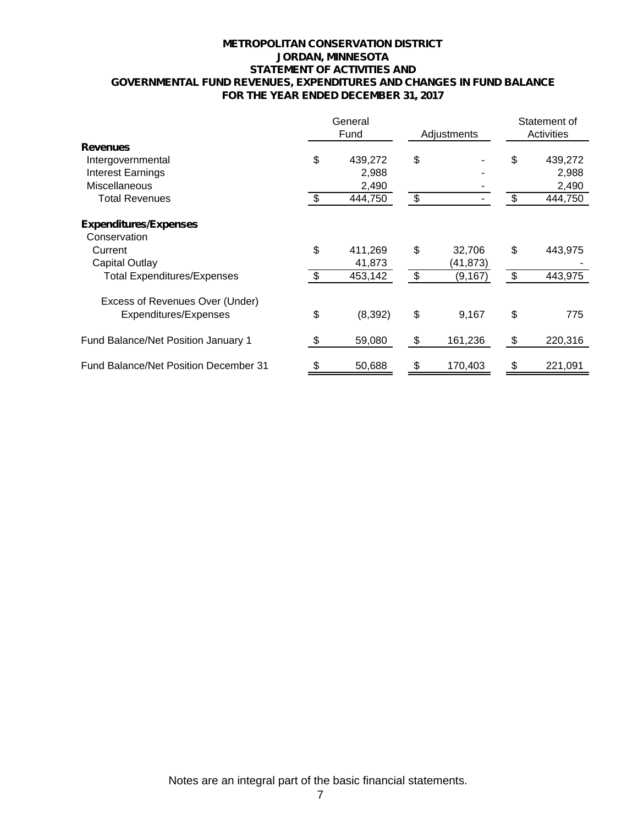#### **METROPOLITAN CONSERVATION DISTRICT JORDAN, MINNESOTA STATEMENT OF ACTIVITIES AND GOVERNMENTAL FUND REVENUES, EXPENDITURES AND CHANGES IN FUND BALANCE FOR THE YEAR ENDED DECEMBER 31, 2017**

|                                              | General<br>Fund       |          |                            | Adjustments | Statement of<br>Activities |
|----------------------------------------------|-----------------------|----------|----------------------------|-------------|----------------------------|
| <b>Revenues</b>                              |                       |          |                            |             |                            |
| Intergovernmental                            | \$                    | 439,272  | \$                         |             | \$<br>439,272              |
| <b>Interest Earnings</b>                     |                       | 2,988    |                            |             | 2,988                      |
| Miscellaneous                                |                       | 2,490    |                            |             | 2,490                      |
| <b>Total Revenues</b>                        | $\boldsymbol{\theta}$ | 444,750  | $\boldsymbol{\mathsf{\$}}$ |             | \$<br>444,750              |
| <b>Expenditures/Expenses</b>                 |                       |          |                            |             |                            |
| Conservation                                 |                       |          |                            |             |                            |
| Current                                      | \$                    | 411,269  | \$                         | 32,706      | \$<br>443,975              |
| <b>Capital Outlay</b>                        |                       | 41,873   |                            | (41,873)    |                            |
| <b>Total Expenditures/Expenses</b>           | $\boldsymbol{\theta}$ | 453,142  | \$                         | (9, 167)    | \$<br>443,975              |
| Excess of Revenues Over (Under)              |                       |          |                            |             |                            |
| Expenditures/Expenses                        | \$                    | (8, 392) | \$                         | 9,167       | \$<br>775                  |
| Fund Balance/Net Position January 1          | \$                    | 59,080   | \$                         | 161,236     | \$<br>220,316              |
| <b>Fund Balance/Net Position December 31</b> | \$                    | 50,688   | \$                         | 170,403     | \$<br>221,091              |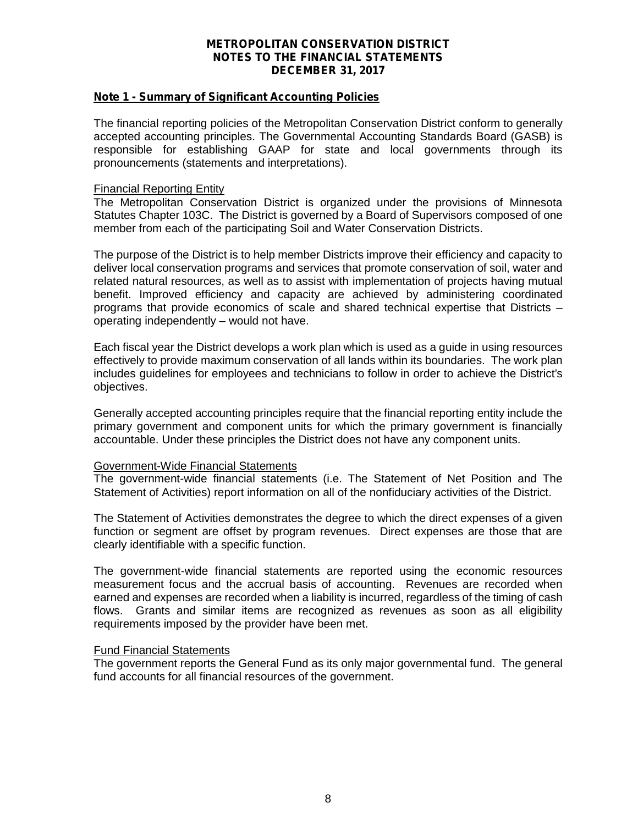#### **Note 1 - Summary of Significant Accounting Policies**

The financial reporting policies of the Metropolitan Conservation District conform to generally accepted accounting principles. The Governmental Accounting Standards Board (GASB) is responsible for establishing GAAP for state and local governments through its pronouncements (statements and interpretations).

#### Financial Reporting Entity

The Metropolitan Conservation District is organized under the provisions of Minnesota Statutes Chapter 103C. The District is governed by a Board of Supervisors composed of one member from each of the participating Soil and Water Conservation Districts.

The purpose of the District is to help member Districts improve their efficiency and capacity to deliver local conservation programs and services that promote conservation of soil, water and related natural resources, as well as to assist with implementation of projects having mutual benefit. Improved efficiency and capacity are achieved by administering coordinated programs that provide economics of scale and shared technical expertise that Districts – operating independently – would not have.

Each fiscal year the District develops a work plan which is used as a guide in using resources effectively to provide maximum conservation of all lands within its boundaries. The work plan includes guidelines for employees and technicians to follow in order to achieve the District's objectives.

Generally accepted accounting principles require that the financial reporting entity include the primary government and component units for which the primary government is financially accountable. Under these principles the District does not have any component units.

#### Government-Wide Financial Statements

The government-wide financial statements (i.e. The Statement of Net Position and The Statement of Activities) report information on all of the nonfiduciary activities of the District.

The Statement of Activities demonstrates the degree to which the direct expenses of a given function or segment are offset by program revenues. Direct expenses are those that are clearly identifiable with a specific function.

The government-wide financial statements are reported using the economic resources measurement focus and the accrual basis of accounting. Revenues are recorded when earned and expenses are recorded when a liability is incurred, regardless of the timing of cash flows. Grants and similar items are recognized as revenues as soon as all eligibility requirements imposed by the provider have been met.

#### Fund Financial Statements

The government reports the General Fund as its only major governmental fund. The general fund accounts for all financial resources of the government.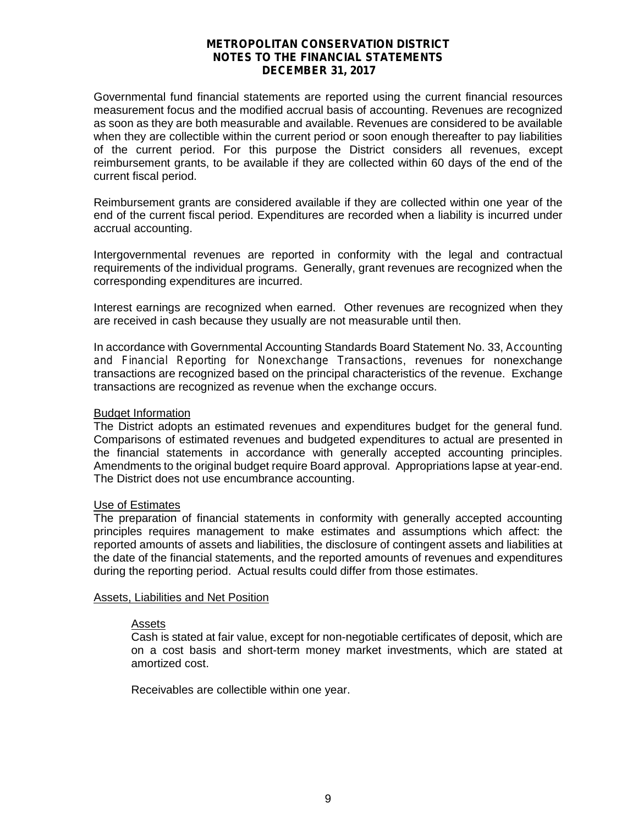Governmental fund financial statements are reported using the current financial resources measurement focus and the modified accrual basis of accounting. Revenues are recognized as soon as they are both measurable and available. Revenues are considered to be available when they are collectible within the current period or soon enough thereafter to pay liabilities of the current period. For this purpose the District considers all revenues, except reimbursement grants, to be available if they are collected within 60 days of the end of the current fiscal period.

Reimbursement grants are considered available if they are collected within one year of the end of the current fiscal period. Expenditures are recorded when a liability is incurred under accrual accounting.

Intergovernmental revenues are reported in conformity with the legal and contractual requirements of the individual programs. Generally, grant revenues are recognized when the corresponding expenditures are incurred.

Interest earnings are recognized when earned. Other revenues are recognized when they are received in cash because they usually are not measurable until then.

In accordance with Governmental Accounting Standards Board Statement No. 33, *Accounting and Financial Reporting for Nonexchange Transactions*, revenues for nonexchange transactions are recognized based on the principal characteristics of the revenue. Exchange transactions are recognized as revenue when the exchange occurs.

#### Budget Information

The District adopts an estimated revenues and expenditures budget for the general fund. Comparisons of estimated revenues and budgeted expenditures to actual are presented in the financial statements in accordance with generally accepted accounting principles. Amendments to the original budget require Board approval. Appropriations lapse at year-end. The District does not use encumbrance accounting.

#### Use of Estimates

The preparation of financial statements in conformity with generally accepted accounting principles requires management to make estimates and assumptions which affect: the reported amounts of assets and liabilities, the disclosure of contingent assets and liabilities at the date of the financial statements, and the reported amounts of revenues and expenditures during the reporting period. Actual results could differ from those estimates.

#### Assets, Liabilities and Net Position

#### Assets

Cash is stated at fair value, except for non-negotiable certificates of deposit, which are on a cost basis and short-term money market investments, which are stated at amortized cost.

Receivables are collectible within one year.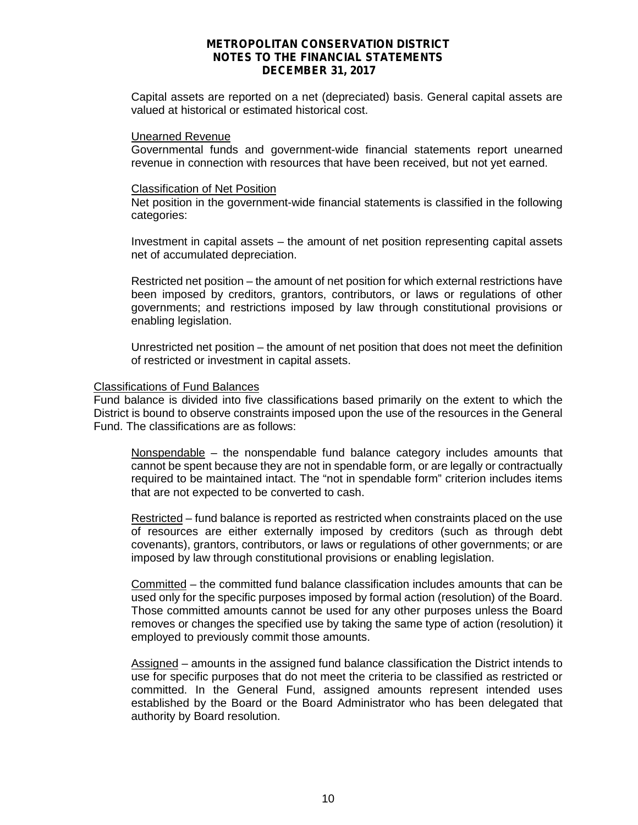Capital assets are reported on a net (depreciated) basis. General capital assets are valued at historical or estimated historical cost.

#### Unearned Revenue

Governmental funds and government-wide financial statements report unearned revenue in connection with resources that have been received, but not yet earned.

#### Classification of Net Position

Net position in the government-wide financial statements is classified in the following categories:

Investment in capital assets – the amount of net position representing capital assets net of accumulated depreciation.

Restricted net position – the amount of net position for which external restrictions have been imposed by creditors, grantors, contributors, or laws or regulations of other governments; and restrictions imposed by law through constitutional provisions or enabling legislation.

Unrestricted net position – the amount of net position that does not meet the definition of restricted or investment in capital assets.

#### Classifications of Fund Balances

Fund balance is divided into five classifications based primarily on the extent to which the District is bound to observe constraints imposed upon the use of the resources in the General Fund. The classifications are as follows:

Nonspendable – the nonspendable fund balance category includes amounts that cannot be spent because they are not in spendable form, or are legally or contractually required to be maintained intact. The "not in spendable form" criterion includes items that are not expected to be converted to cash.

Restricted – fund balance is reported as restricted when constraints placed on the use of resources are either externally imposed by creditors (such as through debt covenants), grantors, contributors, or laws or regulations of other governments; or are imposed by law through constitutional provisions or enabling legislation.

Committed – the committed fund balance classification includes amounts that can be used only for the specific purposes imposed by formal action (resolution) of the Board. Those committed amounts cannot be used for any other purposes unless the Board removes or changes the specified use by taking the same type of action (resolution) it employed to previously commit those amounts.

Assigned – amounts in the assigned fund balance classification the District intends to use for specific purposes that do not meet the criteria to be classified as restricted or committed. In the General Fund, assigned amounts represent intended uses established by the Board or the Board Administrator who has been delegated that authority by Board resolution.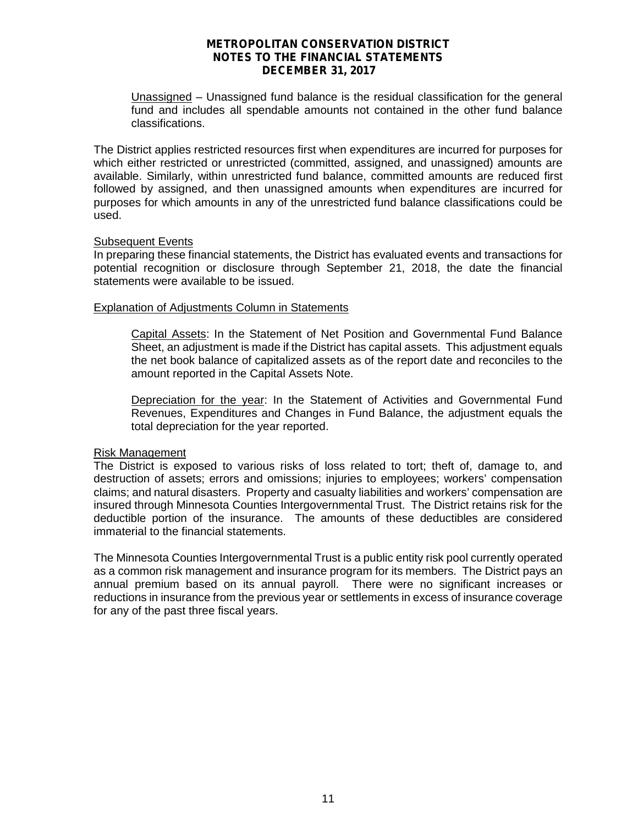Unassigned – Unassigned fund balance is the residual classification for the general fund and includes all spendable amounts not contained in the other fund balance classifications.

The District applies restricted resources first when expenditures are incurred for purposes for which either restricted or unrestricted (committed, assigned, and unassigned) amounts are available. Similarly, within unrestricted fund balance, committed amounts are reduced first followed by assigned, and then unassigned amounts when expenditures are incurred for purposes for which amounts in any of the unrestricted fund balance classifications could be used.

#### Subsequent Events

In preparing these financial statements, the District has evaluated events and transactions for potential recognition or disclosure through September 21, 2018, the date the financial statements were available to be issued.

#### Explanation of Adjustments Column in Statements

Capital Assets: In the Statement of Net Position and Governmental Fund Balance Sheet, an adjustment is made if the District has capital assets. This adjustment equals the net book balance of capitalized assets as of the report date and reconciles to the amount reported in the Capital Assets Note.

Depreciation for the year: In the Statement of Activities and Governmental Fund Revenues, Expenditures and Changes in Fund Balance, the adjustment equals the total depreciation for the year reported.

#### Risk Management

The District is exposed to various risks of loss related to tort; theft of, damage to, and destruction of assets; errors and omissions; injuries to employees; workers' compensation claims; and natural disasters. Property and casualty liabilities and workers' compensation are insured through Minnesota Counties Intergovernmental Trust. The District retains risk for the deductible portion of the insurance. The amounts of these deductibles are considered immaterial to the financial statements.

The Minnesota Counties Intergovernmental Trust is a public entity risk pool currently operated as a common risk management and insurance program for its members. The District pays an annual premium based on its annual payroll. There were no significant increases or reductions in insurance from the previous year or settlements in excess of insurance coverage for any of the past three fiscal years.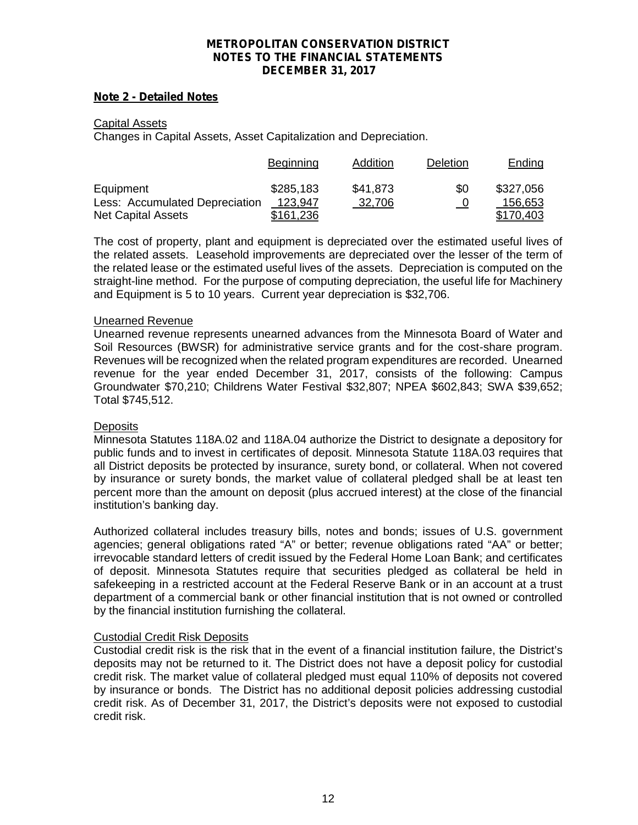#### **Note 2 - Detailed Notes**

#### Capital Assets

Changes in Capital Assets, Asset Capitalization and Depreciation.

|                                | <b>Beginning</b> | Addition | Deletion | Ending    |  |
|--------------------------------|------------------|----------|----------|-----------|--|
| Equipment                      | \$285,183        | \$41,873 | \$0      | \$327,056 |  |
| Less: Accumulated Depreciation | 123.947          | 32,706   |          | 156,653   |  |
| <b>Net Capital Assets</b>      | \$161,236        |          |          | \$170,403 |  |

The cost of property, plant and equipment is depreciated over the estimated useful lives of the related assets. Leasehold improvements are depreciated over the lesser of the term of the related lease or the estimated useful lives of the assets. Depreciation is computed on the straight-line method. For the purpose of computing depreciation, the useful life for Machinery and Equipment is 5 to 10 years. Current year depreciation is \$32,706.

#### Unearned Revenue

Unearned revenue represents unearned advances from the Minnesota Board of Water and Soil Resources (BWSR) for administrative service grants and for the cost-share program. Revenues will be recognized when the related program expenditures are recorded. Unearned revenue for the year ended December 31, 2017, consists of the following: Campus Groundwater \$70,210; Childrens Water Festival \$32,807; NPEA \$602,843; SWA \$39,652; Total \$745,512.

# **Deposits**

Minnesota Statutes 118A.02 and 118A.04 authorize the District to designate a depository for public funds and to invest in certificates of deposit. Minnesota Statute 118A.03 requires that all District deposits be protected by insurance, surety bond, or collateral. When not covered by insurance or surety bonds, the market value of collateral pledged shall be at least ten percent more than the amount on deposit (plus accrued interest) at the close of the financial institution's banking day.

Authorized collateral includes treasury bills, notes and bonds; issues of U.S. government agencies; general obligations rated "A" or better; revenue obligations rated "AA" or better; irrevocable standard letters of credit issued by the Federal Home Loan Bank; and certificates of deposit. Minnesota Statutes require that securities pledged as collateral be held in safekeeping in a restricted account at the Federal Reserve Bank or in an account at a trust department of a commercial bank or other financial institution that is not owned or controlled by the financial institution furnishing the collateral.

#### Custodial Credit Risk Deposits

Custodial credit risk is the risk that in the event of a financial institution failure, the District's deposits may not be returned to it. The District does not have a deposit policy for custodial credit risk. The market value of collateral pledged must equal 110% of deposits not covered by insurance or bonds. The District has no additional deposit policies addressing custodial credit risk. As of December 31, 2017, the District's deposits were not exposed to custodial credit risk.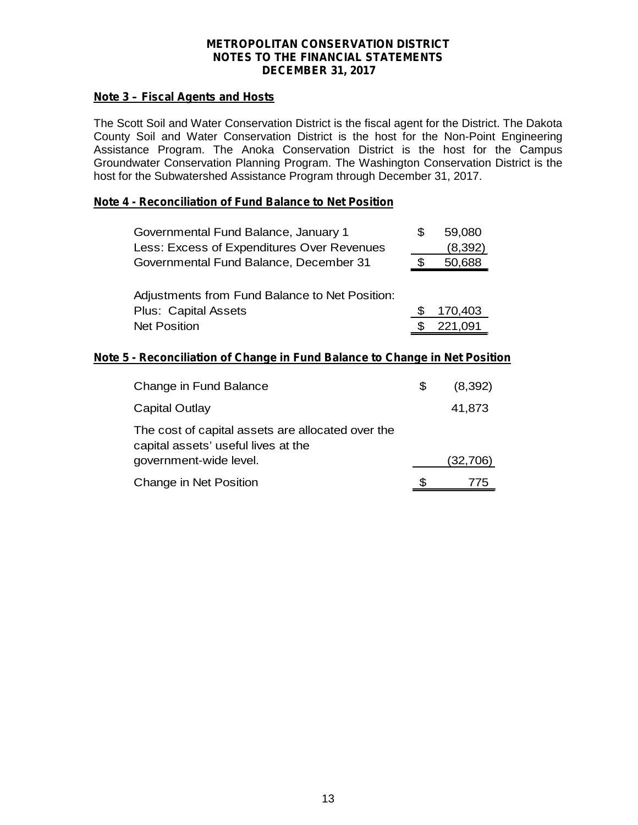# **Note 3 – Fiscal Agents and Hosts**

The Scott Soil and Water Conservation District is the fiscal agent for the District. The Dakota County Soil and Water Conservation District is the host for the Non-Point Engineering Assistance Program. The Anoka Conservation District is the host for the Campus Groundwater Conservation Planning Program. The Washington Conservation District is the host for the Subwatershed Assistance Program through December 31, 2017.

# **Note 4 - Reconciliation of Fund Balance to Net Position**

| Governmental Fund Balance, January 1                                                                  | \$<br>59,080   |  |
|-------------------------------------------------------------------------------------------------------|----------------|--|
| Less: Excess of Expenditures Over Revenues                                                            | (8,392)        |  |
| Governmental Fund Balance, December 31                                                                | \$<br>50,688   |  |
|                                                                                                       |                |  |
| Adjustments from Fund Balance to Net Position:                                                        |                |  |
| <b>Plus: Capital Assets</b>                                                                           | \$<br>170,403  |  |
| <b>Net Position</b>                                                                                   | \$<br>221,091  |  |
|                                                                                                       |                |  |
|                                                                                                       |                |  |
| Note 5 - Reconciliation of Change in Fund Balance to Change in Net Position<br>Change in Fund Balance | \$<br>(8, 392) |  |
| <b>Capital Outlay</b>                                                                                 | 41,873         |  |
| The cost of capital assets are allocated over the<br>capital assets' useful lives at the              |                |  |

Change in Net Position **by Change in Net Position 6** 775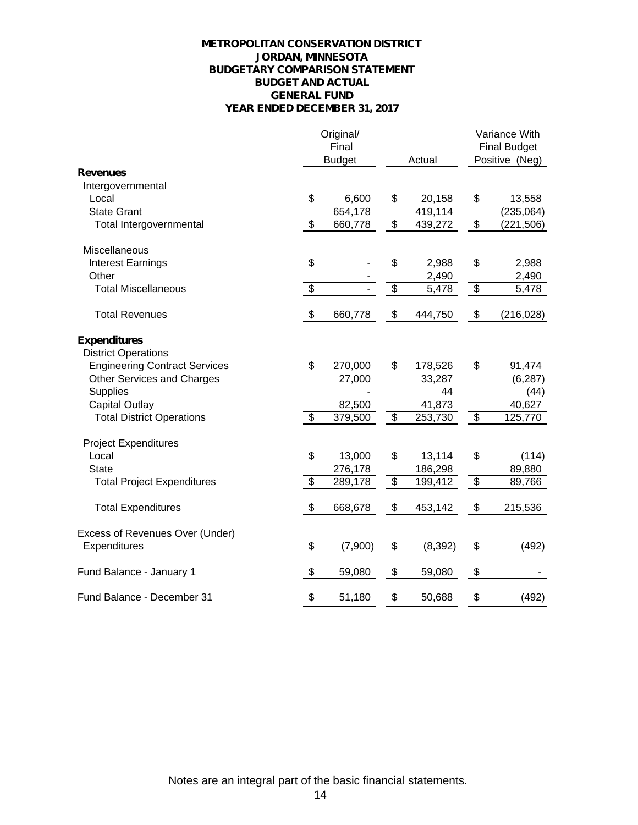#### **METROPOLITAN CONSERVATION DISTRICT JORDAN, MINNESOTA BUDGETARY COMPARISON STATEMENT BUDGET AND ACTUAL GENERAL FUND YEAR ENDED DECEMBER 31, 2017**

|                                      | Original/<br>Final         |               |                          |          |                            | Variance With<br><b>Final Budget</b> |
|--------------------------------------|----------------------------|---------------|--------------------------|----------|----------------------------|--------------------------------------|
|                                      |                            | <b>Budget</b> |                          | Actual   |                            | Positive (Neg)                       |
| <b>Revenues</b>                      |                            |               |                          |          |                            |                                      |
| Intergovernmental                    |                            |               |                          |          |                            |                                      |
| Local                                | \$                         | 6,600         | \$                       | 20,158   | \$                         | 13,558                               |
| <b>State Grant</b>                   |                            | 654,178       |                          | 419,114  |                            | (235, 064)                           |
| Total Intergovernmental              | $\overline{\mathcal{G}}$   | 660,778       | $\overline{\mathcal{E}}$ | 439,272  | $\overline{\mathbf{e}}$    | (221, 506)                           |
| Miscellaneous                        |                            |               |                          |          |                            |                                      |
| <b>Interest Earnings</b>             | \$                         |               | \$                       | 2,988    | \$                         | 2,988                                |
| Other                                |                            |               |                          | 2,490    |                            | 2,490                                |
| <b>Total Miscellaneous</b>           | $\overline{\$}$            |               | $\overline{\mathcal{G}}$ | 5,478    | $\overline{\mathcal{G}}$   | 5,478                                |
| <b>Total Revenues</b>                | \$                         | 660,778       | \$                       | 444,750  | \$                         | (216, 028)                           |
| <b>Expenditures</b>                  |                            |               |                          |          |                            |                                      |
| <b>District Operations</b>           |                            |               |                          |          |                            |                                      |
| <b>Engineering Contract Services</b> | \$                         | 270,000       | \$                       | 178,526  | \$                         | 91,474                               |
| Other Services and Charges           |                            | 27,000        |                          | 33,287   |                            | (6, 287)                             |
| <b>Supplies</b>                      |                            |               |                          | 44       |                            | (44)                                 |
| <b>Capital Outlay</b>                |                            | 82,500        |                          | 41,873   |                            | 40,627                               |
| <b>Total District Operations</b>     | $\boldsymbol{\mathsf{\$}}$ | 379,500       | \$                       | 253,730  | $\boldsymbol{\mathsf{\$}}$ | 125,770                              |
| <b>Project Expenditures</b>          |                            |               |                          |          |                            |                                      |
| Local                                | \$                         | 13,000        | \$                       | 13,114   | \$                         | (114)                                |
| <b>State</b>                         |                            | 276,178       |                          | 186,298  |                            | 89,880                               |
| <b>Total Project Expenditures</b>    | $\boldsymbol{\mathsf{\$}}$ | 289,178       | \$                       | 199,412  | $\boldsymbol{\theta}$      | 89,766                               |
| <b>Total Expenditures</b>            | \$                         | 668,678       | \$                       | 453,142  | \$                         | 215,536                              |
| Excess of Revenues Over (Under)      |                            |               |                          |          |                            |                                      |
| Expenditures                         | \$                         | (7,900)       | \$                       | (8, 392) | \$                         | (492)                                |
| Fund Balance - January 1             | \$                         | 59,080        | \$                       | 59,080   | \$                         |                                      |
| Fund Balance - December 31           | \$                         | 51,180        | \$                       | 50,688   | \$                         | (492)                                |

Notes are an integral part of the basic financial statements.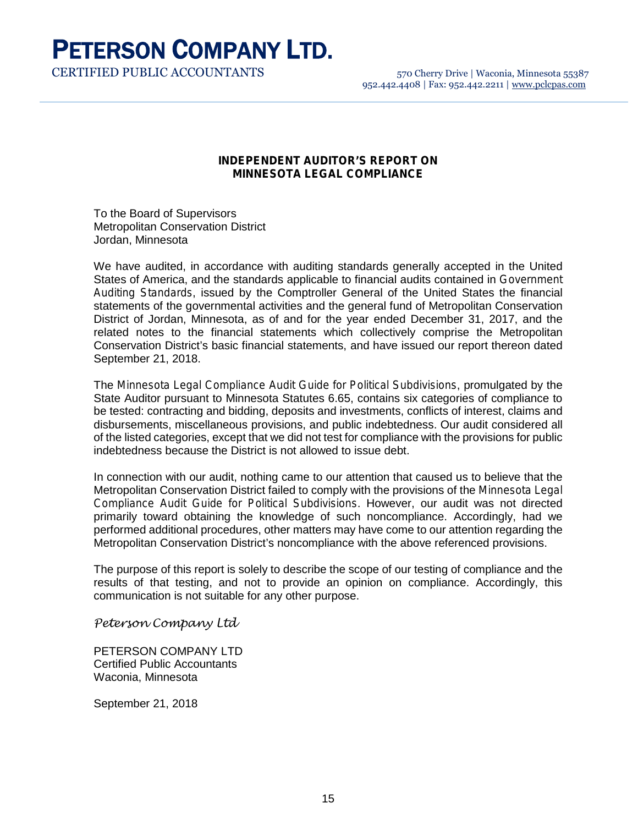# **PETERSON COMPANY LTD.**

# **INDEPENDENT AUDITOR'S REPORT ON MINNESOTA LEGAL COMPLIANCE**

To the Board of Supervisors Metropolitan Conservation District Jordan, Minnesota

We have audited, in accordance with auditing standards generally accepted in the United States of America, and the standards applicable to financial audits contained in *Government Auditing Standards*, issued by the Comptroller General of the United States the financial statements of the governmental activities and the general fund of Metropolitan Conservation District of Jordan, Minnesota, as of and for the year ended December 31, 2017, and the related notes to the financial statements which collectively comprise the Metropolitan Conservation District's basic financial statements, and have issued our report thereon dated September 21, 2018.

The *Minnesota Legal Compliance Audit Guide for Political Subdivisions*, promulgated by the State Auditor pursuant to Minnesota Statutes 6.65, contains six categories of compliance to be tested: contracting and bidding, deposits and investments, conflicts of interest, claims and disbursements, miscellaneous provisions, and public indebtedness. Our audit considered all of the listed categories, except that we did not test for compliance with the provisions for public indebtedness because the District is not allowed to issue debt.

In connection with our audit, nothing came to our attention that caused us to believe that the Metropolitan Conservation District failed to comply with the provisions of the *Minnesota Legal Compliance Audit Guide for Political Subdivisions*. However, our audit was not directed primarily toward obtaining the knowledge of such noncompliance. Accordingly, had we performed additional procedures, other matters may have come to our attention regarding the Metropolitan Conservation District's noncompliance with the above referenced provisions.

The purpose of this report is solely to describe the scope of our testing of compliance and the results of that testing, and not to provide an opinion on compliance. Accordingly, this communication is not suitable for any other purpose.

Peterson Company Ltd

PETERSON COMPANY LTD Certified Public Accountants Waconia, Minnesota

September 21, 2018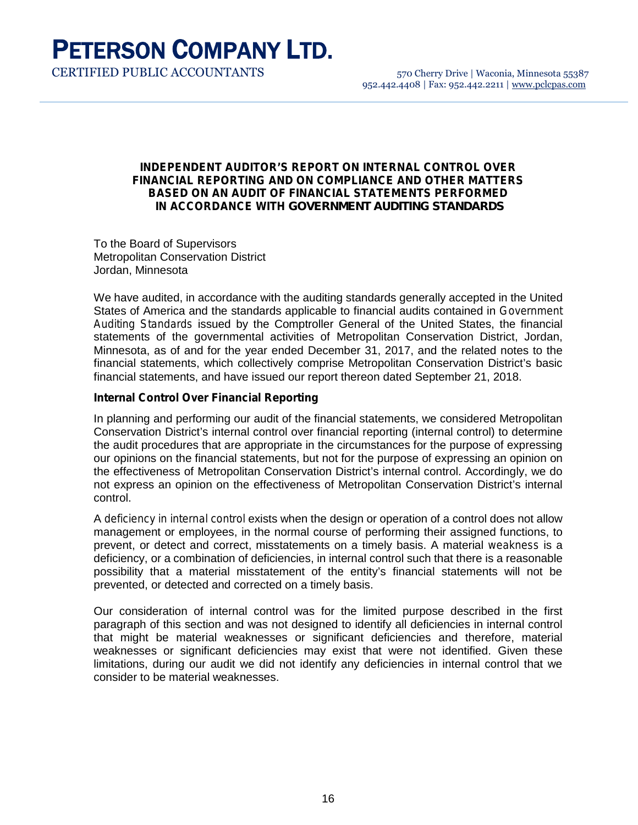# **PETERSON COMPANY LTD.**

CERTIFIED PUBLIC ACCOUNTANTS 570 Cherry Drive | Waconia, Minnesota 55387

#### **INDEPENDENT AUDITOR'S REPORT ON INTERNAL CONTROL OVER FINANCIAL REPORTING AND ON COMPLIANCE AND OTHER MATTERS BASED ON AN AUDIT OF FINANCIAL STATEMENTS PERFORMED IN ACCORDANCE WITH** *GOVERNMENT AUDITING STANDARDS*

To the Board of Supervisors Metropolitan Conservation District Jordan, Minnesota

We have audited, in accordance with the auditing standards generally accepted in the United States of America and the standards applicable to financial audits contained in *Government Auditing Standards* issued by the Comptroller General of the United States, the financial statements of the governmental activities of Metropolitan Conservation District, Jordan, Minnesota, as of and for the year ended December 31, 2017, and the related notes to the financial statements, which collectively comprise Metropolitan Conservation District's basic financial statements, and have issued our report thereon dated September 21, 2018.

#### **Internal Control Over Financial Reporting**

In planning and performing our audit of the financial statements, we considered Metropolitan Conservation District's internal control over financial reporting (internal control) to determine the audit procedures that are appropriate in the circumstances for the purpose of expressing our opinions on the financial statements, but not for the purpose of expressing an opinion on the effectiveness of Metropolitan Conservation District's internal control. Accordingly, we do not express an opinion on the effectiveness of Metropolitan Conservation District's internal control.

A *deficiency in internal control* exists when the design or operation of a control does not allow management or employees, in the normal course of performing their assigned functions, to prevent, or detect and correct, misstatements on a timely basis. A material *weakness* is a deficiency, or a combination of deficiencies, in internal control such that there is a reasonable possibility that a material misstatement of the entity's financial statements will not be prevented, or detected and corrected on a timely basis.

Our consideration of internal control was for the limited purpose described in the first paragraph of this section and was not designed to identify all deficiencies in internal control that might be material weaknesses or significant deficiencies and therefore, material weaknesses or significant deficiencies may exist that were not identified. Given these limitations, during our audit we did not identify any deficiencies in internal control that we consider to be material weaknesses.